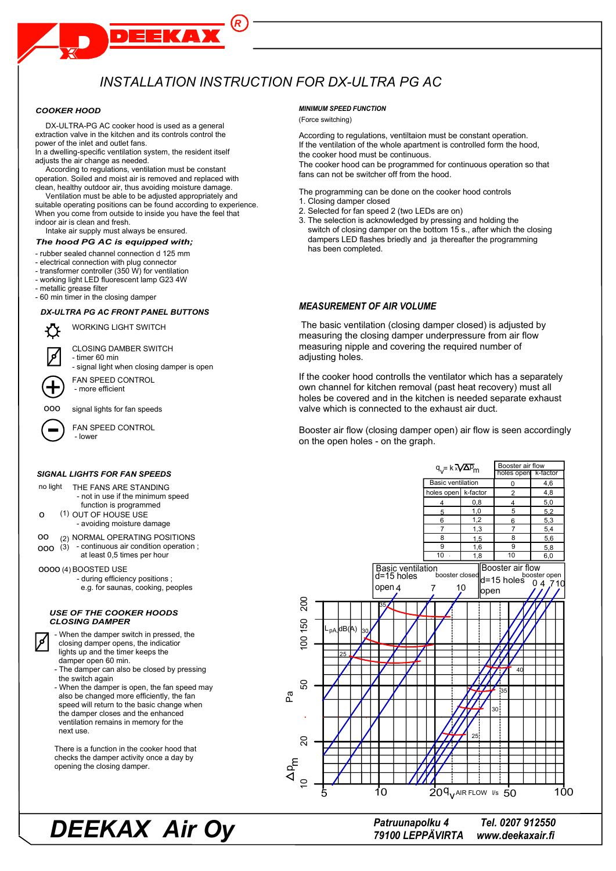## INSTALLATION INSTRUCTION FOR DX-ULTRA PG AC

 $\overline{R}$ 

**TAY** 

#### **COOKER HOOD**

DX-ULTRA-PG AC cooker hood is used as a general extraction valve in the kitchen and its controls control the power of the inlet and outlet fans.

In a dwelling-specific ventilation system, the resident itself adjusts the air change as needed.

According to regulations, ventilation must be constant operation. Soiled and moist air is removed and replaced with clean, healthy outdoor air, thus avoiding moisture damage.

Ventilation must be able to be adjusted appropriately and suitable operating positions can be found according to experience. When you come from outside to inside you have the feel that indoor air is clean and fresh.

Intake air supply must always be ensured.

#### The hood PG AC is equipped with;

- rubber sealed channel connection d 125 mm

- electrical connection with plug connector
- transformer controller (350 W) for ventilation
- working light LED fluorescent lamp G23 4W
- metallic grease filter
- 60 min timer in the closing damper

#### **DX-ULTRA PG AC FRONT PANEL BUTTONS**



**WORKING LIGHT SWITCH** 

**CLOSING DAMBER SWITCH** 

- timer 60 min signal light when closing damper is open

FAN SPEED CONTROL - more efficient

000 signal lights for fan speeds

FAN SPEED CONTROL

#### **SIGNAL LIGHTS FOR FAN SPEEDS**

- no light THE FANS ARE STANDING - not in use if the minimum speed function is programmed
- (1) OUT OF HOUSE USE  $\circ$ - avoiding moisture damage
- <sub>00</sub> (2) NORMAL OPERATING POSITIONS
- $000\left(3\right)$  continuous air condition operation; at least 0.5 times per hour

0000 (4) BOOSTED USE

کر|

- during efficiency positions;
- e.g. for saunas, cooking, peoples

#### **USE OF THE COOKER HOODS CLOSING DAMPER**

| - When the damper switch in pressed, the |
|------------------------------------------|
| closing damper opens, the indicatior     |
| lights up and the timer keeps the        |
| damper open 60 min.                      |

- The damper can also be closed by pressing the switch again
- When the damper is open, the fan speed may also be changed more efficiently, the fan speed will return to the basic change when the damper closes and the enhanced ventilation remains in memory for the next use.

There is a function in the cooker hood that checks the damper activity once a day by opening the closing damper.

#### **MINIMUM SPEED FUNCTION**

#### (Force switching)

According to regulations, ventiltaion must be constant operation. If the ventilation of the whole apartment is controlled form the hood, the cooker hood must be continuous.

The cooker hood can be programmed for continuous operation so that fans can not be switcher off from the hood.

The programming can be done on the cooker hood controls

- 1. Closing damper closed
- 2. Selected for fan speed 2 (two LEDs are on)
- 3. The selection is acknowledged by pressing and holding the switch of closing damper on the bottom 15 s., after which the closing dampers LED flashes briedly and ja thereafter the programming has been completed.

#### **MEASUREMENT OF AIR VOLUME**

The basic ventilation (closing damper closed) is adjusted by measuring the closing damper underpressure from air flow measuring nipple and covering the required number of adjusting holes.

If the cooker hood controlls the ventilator which has a separately own channel for kitchen removal (past heat recovery) must all holes be covered and in the kitchen is needed separate exhaust valve which is connected to the exhaust air duct.

Booster air flow (closing damper open) air flow is seen accordingly on the open holes - on the graph.



Patruunapolku 4 79100 LEPPÄVIRTA

Tel. 0207 912550 www.deekaxair.fi

# **DEEKAX Air Oy**

- lower